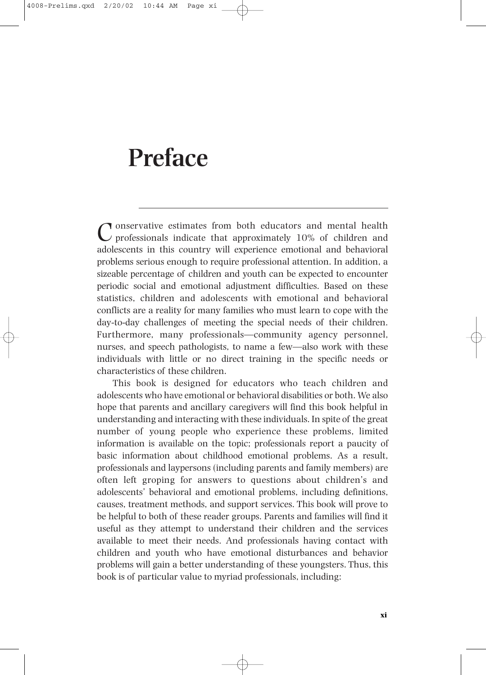# **Preface**

Tonservative estimates from both educators and mental health  $\nu$  professionals indicate that approximately 10% of children and adolescents in this country will experience emotional and behavioral problems serious enough to require professional attention. In addition, a sizeable percentage of children and youth can be expected to encounter periodic social and emotional adjustment difficulties. Based on these statistics, children and adolescents with emotional and behavioral conflicts are a reality for many families who must learn to cope with the day-to-day challenges of meeting the special needs of their children. Furthermore, many professionals—community agency personnel, nurses, and speech pathologists, to name a few—also work with these individuals with little or no direct training in the specific needs or characteristics of these children.

This book is designed for educators who teach children and adolescents who have emotional or behavioral disabilities or both. We also hope that parents and ancillary caregivers will find this book helpful in understanding and interacting with these individuals. In spite of the great number of young people who experience these problems, limited information is available on the topic; professionals report a paucity of basic information about childhood emotional problems. As a result, professionals and laypersons (including parents and family members) are often left groping for answers to questions about children's and adolescents' behavioral and emotional problems, including definitions, causes, treatment methods, and support services. This book will prove to be helpful to both of these reader groups. Parents and families will find it useful as they attempt to understand their children and the services available to meet their needs. And professionals having contact with children and youth who have emotional disturbances and behavior problems will gain a better understanding of these youngsters. Thus, this book is of particular value to myriad professionals, including: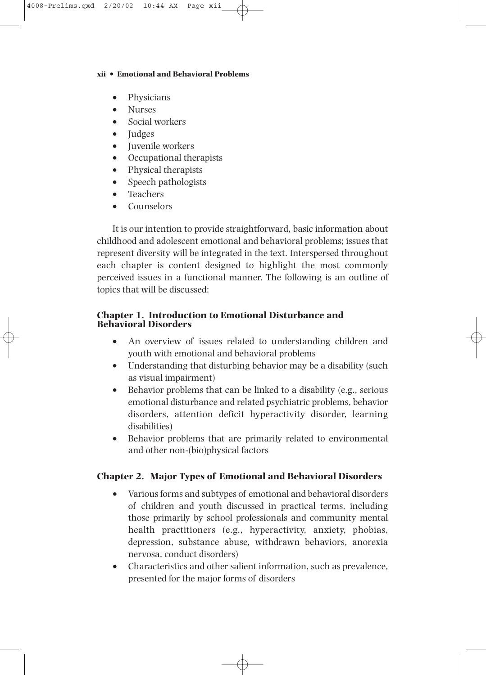#### **xii • Emotional and Behavioral Problems**

- Physicians
- Nurses
- Social workers
- Judges
- Juvenile workers
- Occupational therapists
- Physical therapists
- Speech pathologists
- Teachers
- Counselors

It is our intention to provide straightforward, basic information about childhood and adolescent emotional and behavioral problems; issues that represent diversity will be integrated in the text. Interspersed throughout each chapter is content designed to highlight the most commonly perceived issues in a functional manner. The following is an outline of topics that will be discussed:

#### **Chapter 1. Introduction to Emotional Disturbance and Behavioral Disorders**

- An overview of issues related to understanding children and youth with emotional and behavioral problems
- Understanding that disturbing behavior may be a disability (such as visual impairment)
- Behavior problems that can be linked to a disability (e.g., serious emotional disturbance and related psychiatric problems, behavior disorders, attention deficit hyperactivity disorder, learning disabilities)
- Behavior problems that are primarily related to environmental and other non-(bio)physical factors

#### **Chapter 2. Major Types of Emotional and Behavioral Disorders**

- Various forms and subtypes of emotional and behavioral disorders of children and youth discussed in practical terms, including those primarily by school professionals and community mental health practitioners (e.g., hyperactivity, anxiety, phobias, depression, substance abuse, withdrawn behaviors, anorexia nervosa, conduct disorders)
- Characteristics and other salient information, such as prevalence, presented for the major forms of disorders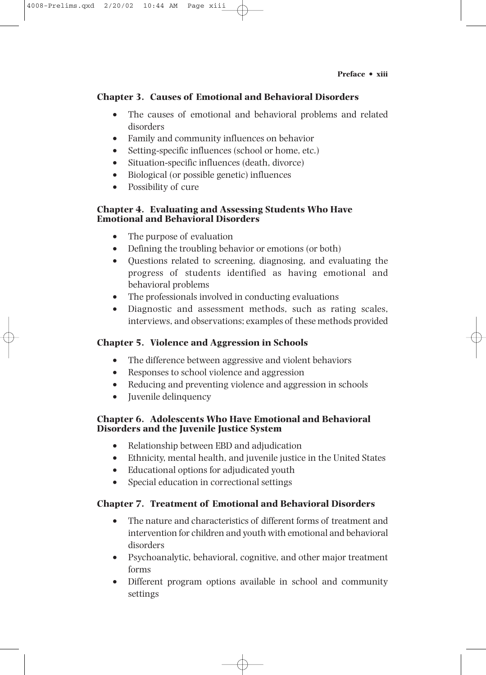#### **Preface • xiii**

## **Chapter 3. Causes of Emotional and Behavioral Disorders**

- The causes of emotional and behavioral problems and related disorders
- Family and community influences on behavior
- Setting-specific influences (school or home, etc.)
- Situation-specific influences (death, divorce)
- Biological (or possible genetic) influences
- Possibility of cure

4008-Prelims.qxd 2/20/02 10:44 AM Page xiii

#### **Chapter 4. Evaluating and Assessing Students Who Have Emotional and Behavioral Disorders**

- The purpose of evaluation
- Defining the troubling behavior or emotions (or both)
- Questions related to screening, diagnosing, and evaluating the progress of students identified as having emotional and behavioral problems
- The professionals involved in conducting evaluations
- Diagnostic and assessment methods, such as rating scales, interviews, and observations; examples of these methods provided

## **Chapter 5. Violence and Aggression in Schools**

- The difference between aggressive and violent behaviors
- Responses to school violence and aggression
- Reducing and preventing violence and aggression in schools
- Juvenile delinquency

## **Chapter 6. Adolescents Who Have Emotional and Behavioral Disorders and the Juvenile Justice System**

- Relationship between EBD and adjudication
- Ethnicity, mental health, and juvenile justice in the United States
- Educational options for adjudicated youth
- Special education in correctional settings

## **Chapter 7. Treatment of Emotional and Behavioral Disorders**

- The nature and characteristics of different forms of treatment and intervention for children and youth with emotional and behavioral disorders
- Psychoanalytic, behavioral, cognitive, and other major treatment forms
- Different program options available in school and community settings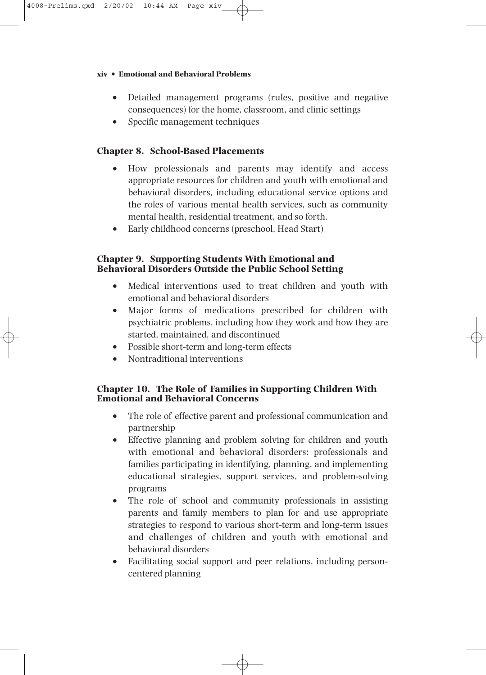#### **xiv • Emotional and Behavioral Problems**

- Detailed management programs (rules, positive and negative consequences) for the home, classroom, and clinic settings
- Specific management techniques

#### **Chapter 8. School-Based Placements**

- How professionals and parents may identify and access appropriate resources for children and youth with emotional and behavioral disorders, including educational service options and the roles of various mental health services, such as community mental health, residential treatment, and so forth.
- Early childhood concerns (preschool, Head Start)

#### **Chapter 9. Supporting Students With Emotional and Behavioral Disorders Outside the Public School Setting**

- Medical interventions used to treat children and youth with emotional and behavioral disorders
- Major forms of medications prescribed for children with psychiatric problems, including how they work and how they are started, maintained, and discontinued
- Possible short-term and long-term effects
- Nontraditional interventions

#### **Chapter 10. The Role of Families in Supporting Children With Emotional and Behavioral Concerns**

- The role of effective parent and professional communication and partnership
- Effective planning and problem solving for children and youth with emotional and behavioral disorders: professionals and families participating in identifying, planning, and implementing educational strategies, support services, and problem-solving programs
- The role of school and community professionals in assisting parents and family members to plan for and use appropriate strategies to respond to various short-term and long-term issues and challenges of children and youth with emotional and behavioral disorders
- Facilitating social support and peer relations, including personcentered planning